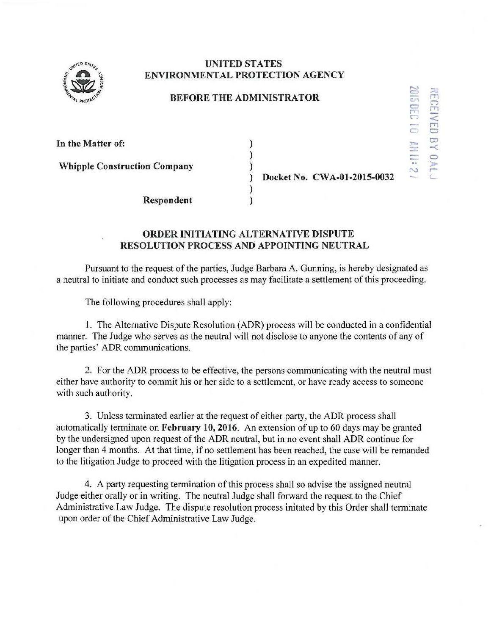

## **UNITED STATES ENVIRONMENTAL PROTECTION AGENCY**

## **BEFORE THE ADMINISTRATOR**

) ) )

> ) )

| In the Matter of:                   |  |
|-------------------------------------|--|
| <b>Whipple Construction Company</b> |  |
|                                     |  |

**Respondent** 

) **Docket** No. **CWA-01-2015-0032** 

 $320$  9102

**RECE** 

**RED** 

 $\mathbb{R}^2$ 

0 ; ,.-

a ..,.,.

N

## **ORDER INITIATING ALTERNATIVE DISPUTE RESOLUTION PROCESS AND APPOINTING NEUTRAL**

Pursuant to the request of the parties, Judge Barbara A. Gunning, is hereby designated as a neutral to initiate and conduct such processes as may facilitate a settlement of this proceeding.

The following procedures shall apply:

1. The Alternative Dispute Resolution (ADR) process will be conducted in a confidential manner. The Judge who serves as the neutral will not disclose to anyone the contents of any of the parties' ADR communications.

2. For the ADR process to be effective, the persons communicating with the neutral must either have authority to commit his or her side to a settlement, or have ready access to someone with such authority.

3. Unless terminated earlier at the request of either party, the ADR process shall automatically terminate on **February 10,2016.** An extension of up to 60 days may be granted by the undersigned upon request of the ADR neutral, but in no event shall ADR continue for longer than 4 months. At that time, if no settlement has been reached, the case will be remanded to the litigation Judge to proceed with the litigation process in an expedited manner.

4. A party requesting termination of this process shall so advise the assigned neutral Judge either orally or in writing. The neutral Judge shall forward the request to the Chief Administrative Law Judge. The dispute resolution process initated by this Order shall terminate upon order of the Chief Administrative Law Judge.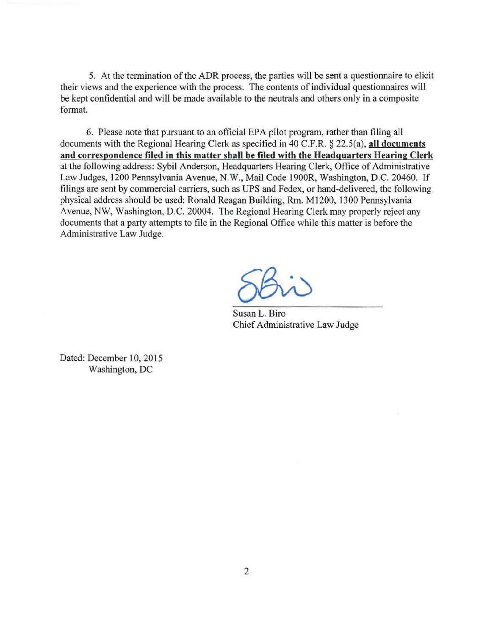5. At the termination of the ADR process, the parties will be sent a questionnaire to elicit their views and the experience with the process. The contents of individual questionnaires will be kept confidential and will be made available to the neutrals and others only in a composite format.

6. Please note that pursuant to an official EPA pilot program, rather than filing all documents with the Regional Hearing Clerk as specified in 40 C.F.R. § 22.5(a), **all documents**  and correspondence filed in this matter shall be filed with the Headquarters Hearing Clerk at the following address: Sybil Anderson, Headquarters Hearing Clerk, Office of Administrative Law Judges, 1200 Pennsylvania Avenue, N.W., Mail Code 1900R, Washington, D.C. 20460. If filings are sent by commercial carriers, such as UPS and Fedex, or hand-delivered, the following physical address should be used: Ronald Reagan Building, Rm. Ml200, 1300 Pennsylvania Avenue, NW, Washington, D.C. 20004. The Regional Hearing Clerk may properly reject any documents that a party attempts to file in the Regional Office while this matter is before the Administrative Law Judge.

Susan L. Biro Chief Administrative Law Judge

Dated: December 10, 2015 Washington, DC